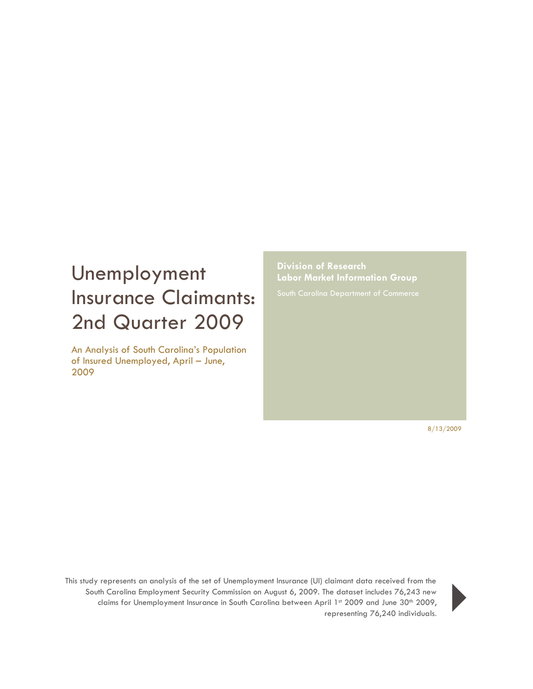## Unemployment Insurance Claimants: 2nd Quarter 2009

An Analysis of South Carolina's Population of Insured Unemployed, April – June, 2009

**Division of Research Labor Market Information Group**

8/13/2009

This study represents an analysis of the set of Unemployment Insurance (UI) claimant data received from the South Carolina Employment Security Commission on August 6, 2009. The dataset includes 76,243 new claims for Unemployment Insurance in South Carolina between April 1st 2009 and June 30<sup>th</sup> 2009, representing 76,243 new<br>ril 1st 2009 and June 30th 2009,<br>representing 76,240 individuals.

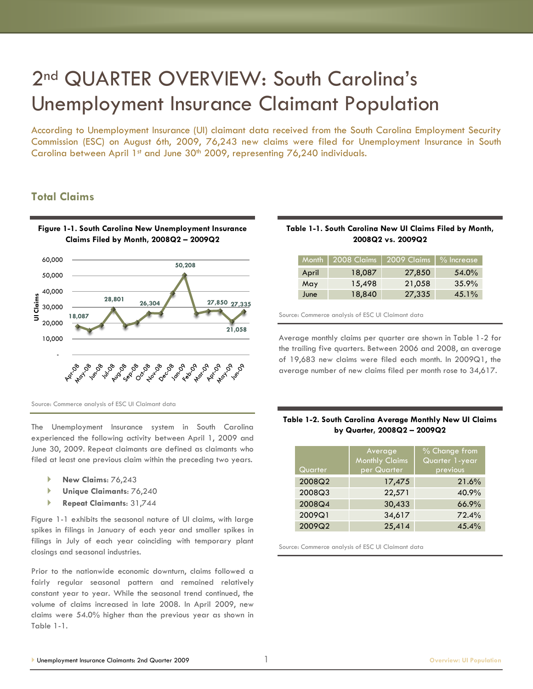## 2<sup>nd</sup> QUARTER OVERVIEW: South Carolina's Unemployment Insurance Claimant Population

According to Unemployment Insurance (UI) claimant data received from the South Carolina Employment Security Commission (ESC) on August 6th, 2009, 76,243 new claims were filed for Unemployment Insurance in South Carolina between April 1st and June 30<sup>th</sup> 2009, representing 76,240 individuals.

## **Total Claims**



Source: Commerce analysis of ESC UI Claimant data

The Unemployment Insurance system in South Carolina experienced the following activity between April 1, 2009 and June 30, 2009. Repeat claimants are defined as claimants who filed at least one previous claim within the preceding two years.

- **New Claims**: 76,243
- **Unique Claimants**: 76,240
- **Repeat Claimants**: 31,744

Figure 1-1 exhibits the seasonal nature of UI claims, with large spikes in filings in January of each year and smaller spikes in filings in July of each year coinciding with temporary plant closings and seasonal industries.

Prior to the nationwide economic downturn, claims followed a fairly regular seasonal pattern and remained relatively constant year to year. While the seasonal trend continued, the volume of claims increased in late 2008. In April 2009, new claims were 54.0% higher than the previous year as shown in Table 1-1.

#### **Table 1-1. South Carolina New UI Claims Filed by Month, 2008Q2 vs. 2009Q2**

| <b>Month</b> | 2008 Claims | 2009 Claims   % Increase |       |
|--------------|-------------|--------------------------|-------|
| April        | 18,087      | 27,850                   | 54.0% |
| May          | 15,498      | 21,058                   | 35.9% |
| June         | 18,840      | 27,335                   | 45.1% |

Source: Commerce analysis of ESC UI Claimant data

Average monthly claims per quarter are shown in Table 1-2 for the trailing five quarters. Between 2006 and 2008, an average of 19,683 new claims were filed each month. In 2009Q1, the average number of new claims filed per month rose to 34,617.

#### **Table 1-2. South Carolina Average Monthly New UI Claims by Quarter, 2008Q2 – 2009Q2**

| Quarter | Average<br><b>Monthly Claims</b><br>per Quarter | % Change from<br>Quarter 1-year<br>previous |
|---------|-------------------------------------------------|---------------------------------------------|
| 2008Q2  | 17,475                                          | 21.6%                                       |
| 2008Q3  | 22,571                                          | 40.9%                                       |
| 2008Q4  | 30,433                                          | 66.9%                                       |
| 2009Q1  | 34,617                                          | 72.4%                                       |
| 2009Q2  | 25,414                                          | 45.4%                                       |

Source: Commerce analysis of ESC UI Claimant data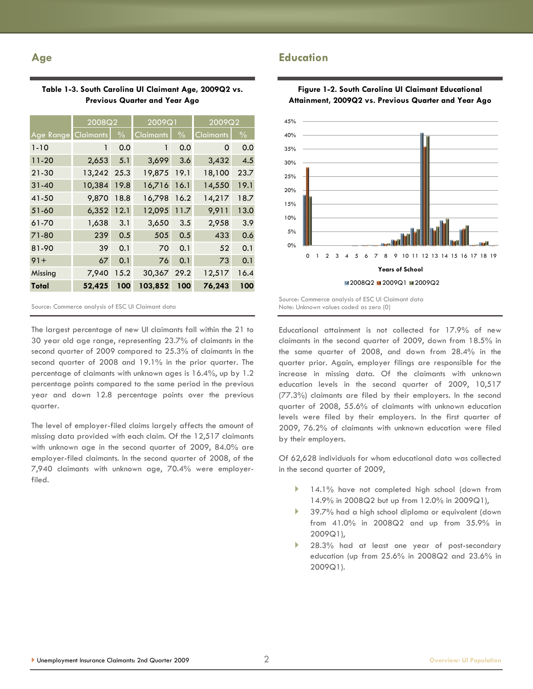#### **Age**

П

|        | Table 1-3. South Carolina UI Claimant Age, 2009Q2 vs<br><b>Previous Quarter and Year Ago</b> |        |
|--------|----------------------------------------------------------------------------------------------|--------|
| 2008Q2 | 2009Q1                                                                                       | 2009Q2 |

|                  | zuuuz            |               | 2007 S    |               | 2007QZ           |               |
|------------------|------------------|---------------|-----------|---------------|------------------|---------------|
| <b>Age Range</b> | <b>Claimants</b> | $\frac{0}{0}$ | Claimants | $\frac{0}{0}$ | <b>Claimants</b> | $\frac{0}{0}$ |
| $1 - 10$         | 1                | 0.0           | 1         | 0.0           | 0                | 0.0           |
| $11 - 20$        | 2,653            | 5.1           | 3,699     | 3.6           | 3,432            | 4.5           |
| $21 - 30$        | 13,242 25.3      |               | 19,875    | 19.1          | 18,100           | 23.7          |
| $31 - 40$        | 10,384           | 19.8          | 16,716    | 16.1          | 14,550           | 19.1          |
| 41-50            | 9,870            | 18.8          | 16,798    | 16.2          | 14,217           | 18.7          |
| $51 - 60$        | 6,352            | 12.1          | 12,095    | 11.7          | 9,911            | 13.0          |
| 61-70            | 1,638            | 3.1           | 3,650     | 3.5           | 2,958            | 3.9           |
| 71-80            | 239              | 0.5           | 505       | 0.5           | 433              | 0.6           |
| 81-90            | 39               | 0.1           | 70        | 0.1           | 52               | 0.1           |
| $91 +$           | 67               | 0.1           | 76        | 0.1           | 73               | 0.1           |
| Missina          | 7,940            | 15.2          | 30,367    | 29.2          | 12,517           | 16.4          |
| Total            | 52,425           | 100           | 103,852   | 100           | 76,243           | 100           |

Source: Commerce analysis of ESC UI Claimant data

The largest percentage of new UI claimants fall within the 21 to 30 year old age range, representing 23.7% of claimants in the second quarter of 2009 compared to 25.3% of claimants in the second quarter of 2008 and 19.1% in the prior quarter. The percentage of claimants with unknown ages is 16.4%, up by 1.2 percentage points compared to the same period in the previous year and down 12.8 percentage points over the previous quarter.

The level of employer-filed claims largely affects the amount of missing data provided with each claim. Of the 12,517 claimants with unknown age in the second quarter of 2009, 84.0% are employer-filed claimants. In the second quarter of 2008, of the 7,940 claimants with unknown age, 70.4% were employerfiled.



**Figure 1-2. South Carolina UI Claimant Educational** 

**Years of School**

0 1 2 3 4 5 6 7 8 9 10 11 12 13 14 15 16 17 18 19

■2008Q2 ■2009Q1 ■2009Q2

Source: Commerce analysis of ESC UI Claimant data Note: Unknown values coded as zero (0)

**Education**

Educational attainment is not collected for 17.9% of new claimants in the second quarter of 2009, down from 18.5% in the same quarter of 2008, and down from 28.4% in the quarter prior. Again, employer filings are responsible for the increase in missing data. Of the claimants with unknown education levels in the second quarter of 2009, 10,517 (77.3%) claimants are filed by their employers. In the second quarter of 2008, 55.6% of claimants with unknown education levels were filed by their employers. In the first quarter of 2009, 76.2% of claimants with unknown education were filed by their employers.

Of 62,628 individuals for whom educational data was collected in the second quarter of 2009,

- 14.1% have not completed high school (down from 14.9% in 2008Q2 but up from 12.0% in 2009Q1),
- 39.7% had a high school diploma or equivalent (down from 41.0% in 2008Q2 and up from 35.9% in 2009Q1),
- 28.3% had at least one year of post-secondary education (up from 25.6% in 2008Q2 and 23.6% in 2009Q1).

# **Table 1-3. South Carolina UI Claimant Age, 2009Q2 vs.**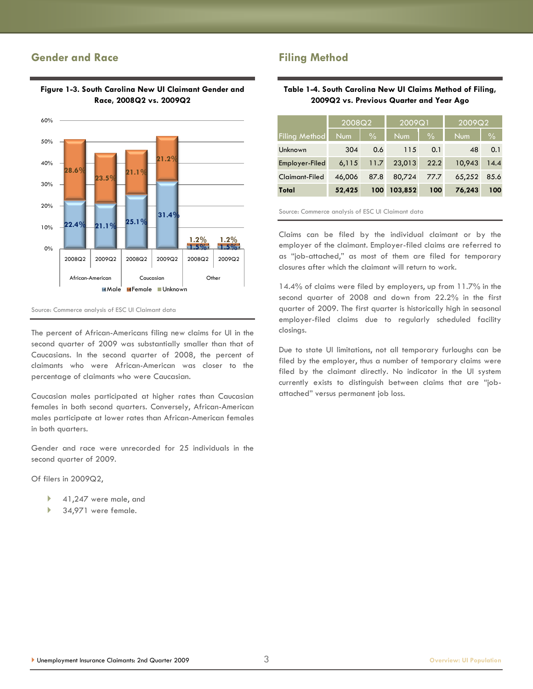## **Gender and Race**



#### **Figure 1-3. South Carolina New UI Claimant Gender and Race, 2008Q2 vs. 2009Q2**

Source: Commerce analysis of ESC UI Claimant data

The percent of African-Americans filing new claims for UI in the second quarter of 2009 was substantially smaller than that of Caucasians. In the second quarter of 2008, the percent of claimants who were African-American was closer to the percentage of claimants who were Caucasian.

Caucasian males participated at higher rates than Caucasian females in both second quarters. Conversely, African-American males participate at lower rates than African-American females in both quarters.

Gender and race were unrecorded for 25 individuals in the second quarter of 2009.

Of filers in 2009Q2,

- 41,247 were male, and
- 34,971 were female.

## **Filing Method**

#### **Table 1-4. South Carolina New UI Claims Method of Filing, 2009Q2 vs. Previous Quarter and Year Ago**

|                       | 2008Q2     |               | $'200\overline{9}$ Q1, |               | 2009Q2     |               |
|-----------------------|------------|---------------|------------------------|---------------|------------|---------------|
| <b>Filing Method</b>  | <b>Num</b> | $\frac{0}{0}$ | Num                    | $\frac{0}{0}$ | <b>Num</b> | $\frac{0}{0}$ |
| Unknown               | 304        | 0.6           | 115                    | 0.1           | 48         | 0.1           |
| Employer-Filed        | 6,115      | 11.7          | 23,013                 | 22.2          | 10,943     | 14.4          |
| <b>Claimant-Filed</b> | 46.006     | 87.8          | 80,724                 | 77.7          | 65,252     | 85.6          |
| Total                 | 52,425     | 100           | 103,852                | 100           | 76.243     | 100           |

Source: Commerce analysis of ESC UI Claimant data

Claims can be filed by the individual claimant or by the employer of the claimant. Employer-filed claims are referred to as "job-attached," as most of them are filed for temporary closures after which the claimant will return to work.

14.4% of claims were filed by employers, up from 11.7% in the second quarter of 2008 and down from 22.2% in the first quarter of 2009. The first quarter is historically high in seasonal employer-filed claims due to regularly scheduled facility closings.

Due to state UI limitations, not all temporary furloughs can be filed by the employer, thus a number of temporary claims were filed by the claimant directly. No indicator in the UI system currently exists to distinguish between claims that are "jobattached‖ versus permanent job loss.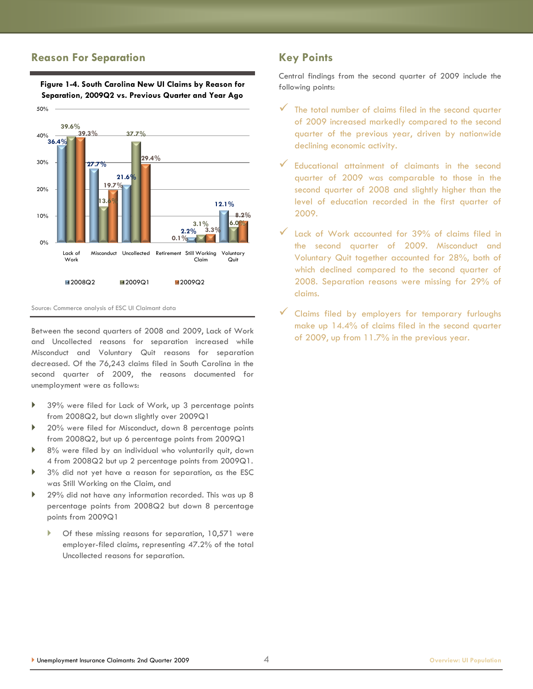#### **Reason For Separation**



**Figure 1-4. South Carolina New UI Claims by Reason for Separation, 2009Q2 vs. Previous Quarter and Year Ago**

Source: Commerce analysis of ESC UI Claimant data

Between the second quarters of 2008 and 2009, Lack of Work and Uncollected reasons for separation increased while Misconduct and Voluntary Quit reasons for separation decreased. Of the 76,243 claims filed in South Carolina in the second quarter of 2009, the reasons documented for unemployment were as follows:

- 39% were filed for Lack of Work, up 3 percentage points from 2008Q2, but down slightly over 2009Q1
- ▶ 20% were filed for Misconduct, down 8 percentage points from 2008Q2, but up 6 percentage points from 2009Q1
- 8% were filed by an individual who voluntarily quit, down 4 from 2008Q2 but up 2 percentage points from 2009Q1.
- 3% did not yet have a reason for separation, as the ESC was Still Working on the Claim, and
- ▶ 29% did not have any information recorded. This was up 8 percentage points from 2008Q2 but down 8 percentage points from 2009Q1
	- Of these missing reasons for separation, 10,571 were employer-filed claims, representing 47.2% of the total Uncollected reasons for separation.

## **Key Points**

Central findings from the second quarter of 2009 include the following points:

- $\checkmark$  The total number of claims filed in the second quarter of 2009 increased markedly compared to the second quarter of the previous year, driven by nationwide declining economic activity.
- Educational attainment of claimants in the second quarter of 2009 was comparable to those in the second quarter of 2008 and slightly higher than the level of education recorded in the first quarter of 2009.
- $\checkmark$  Lack of Work accounted for 39% of claims filed in the second quarter of 2009. Misconduct and Voluntary Quit together accounted for 28%, both of which declined compared to the second quarter of 2008. Separation reasons were missing for 29% of claims.
- Claims filed by employers for temporary furloughs make up 14.4% of claims filed in the second quarter of 2009, up from 11.7% in the previous year.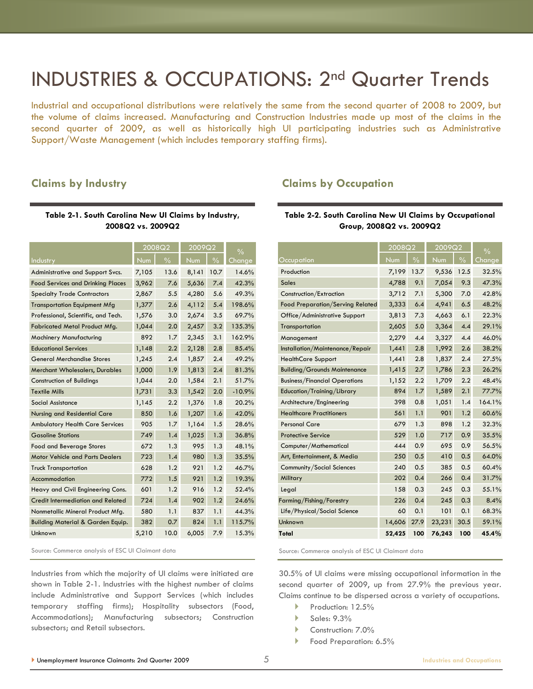## INDUSTRIES & OCCUPATIONS: 2nd Quarter Trends

Industrial and occupational distributions were relatively the same from the second quarter of 2008 to 2009, but the volume of claims increased. Manufacturing and Construction Industries made up most of the claims in the second quarter of 2009, as well as historically high UI participating industries such as Administrative Support/Waste Management (which includes temporary staffing firms).

### **Claims by Industry**

#### **Table 2-1. South Carolina New UI Claims by Industry, 2008Q2 vs. 2009Q2**

|                                              |       | 2008Q2        | 2009Q2 |                          | $\frac{0}{0}$ |
|----------------------------------------------|-------|---------------|--------|--------------------------|---------------|
| <b>Industry</b>                              | Num   | $\frac{0}{0}$ | Num    | $\overline{\frac{9}{6}}$ | Change        |
| Administrative and Support Svcs.             | 7,105 | 13.6          | 8,141  | 10.7                     | 14.6%         |
| <b>Food Services and Drinking Places</b>     | 3,962 | 7.6           | 5,636  | 7.4                      | 42.3%         |
| <b>Specialty Trade Contractors</b>           | 2,867 | 5.5           | 4,280  | 5.6                      | 49.3%         |
| <b>Transportation Equipment Mfg</b>          | 1,377 | 2.6           | 4,112  | 5.4                      | 198.6%        |
| Professional, Scientific, and Tech.          | 1,576 | 3.0           | 2,674  | 3.5                      | 69.7%         |
| Fabricated Metal Product Mfg.                | 1,044 | 2.0           | 2,457  | 3.2                      | 135.3%        |
| Machinery Manufacturing                      | 892   | 1.7           | 2,345  | 3.1                      | 162.9%        |
| <b>Educational Services</b>                  | 1,148 | 2.2           | 2,128  | 2.8                      | 85.4%         |
| <b>General Merchandise Stores</b>            | 1,245 | 2.4           | 1,857  | 2.4                      | 49.2%         |
| Merchant Wholesalers, Durables               | 1,000 | 1.9           | 1,813  | 2.4                      | 81.3%         |
| <b>Construction of Buildings</b>             | 1,044 | 2.0           | 1,584  | 2.1                      | 51.7%         |
| <b>Textile Mills</b>                         | 1,731 | 3.3           | 1,542  | 2.0                      | $-10.9%$      |
| Social Assistance                            | 1,145 | 2.2           | 1,376  | 1.8                      | 20.2%         |
| Nursing and Residential Care                 | 850   | 1.6           | 1,207  | 1.6                      | 42.0%         |
| <b>Ambulatory Health Care Services</b>       | 905   | 1.7           | 1,164  | 1.5                      | 28.6%         |
| <b>Gasoline Stations</b>                     | 749   | 1.4           | 1,025  | 1.3                      | 36.8%         |
| <b>Food and Beverage Stores</b>              | 672   | 1.3           | 995    | 1.3                      | 48.1%         |
| <b>Motor Vehicle and Parts Dealers</b>       | 723   | 1.4           | 980    | 1.3                      | 35.5%         |
| <b>Truck Transportation</b>                  | 628   | 1.2           | 921    | 1.2                      | 46.7%         |
| Accommodation                                | 772   | 1.5           | 921    | 1.2                      | 19.3%         |
| Heavy and Civil Engineering Cons.            | 601   | 1.2           | 916    | 1.2                      | 52.4%         |
| Credit Intermediation and Related            | 724   | 1.4           | 902    | 1.2                      | 24.6%         |
| Nonmetallic Mineral Product Mfg.             | 580   | 1.1           | 837    | 1.1                      | 44.3%         |
| <b>Building Material &amp; Garden Equip.</b> | 382   | 0.7           | 824    | 1.1                      | 115.7%        |
| Unknown                                      | 5,210 | 10.0          | 6,005  | 7.9                      | 15.3%         |

Source: Commerce analysis of ESC UI Claimant data

Industries from which the majority of UI claims were initiated are shown in Table 2-1. Industries with the highest number of claims include Administrative and Support Services (which includes temporary staffing firms); Hospitality subsectors (Food, Accommodations); Manufacturing subsectors; Construction subsectors; and Retail subsectors.

#### **Claims by Occupation**

#### **Table 2-2. South Carolina New UI Claims by Occupational Group, 2008Q2 vs. 2009Q2**

|                                      | 2008Q2 |               | 2009Q2 |               | $\frac{0}{0}$ |
|--------------------------------------|--------|---------------|--------|---------------|---------------|
| Occupation                           | Num    | $\frac{0}{0}$ | Num    | $\frac{0}{0}$ | Change        |
| Production                           | 7,199  | 13.7          | 9,536  | 12.5          | 32.5%         |
| <b>Sales</b>                         | 4,788  | 9.1           | 7,054  | 9.3           | 47.3%         |
| Construction/Extraction              | 3,712  | 7.1           | 5,300  | 7.0           | 42.8%         |
| Food Preparation/Serving Related     | 3,333  | 6.4           | 4,941  | 6.5           | 48.2%         |
| Office/Administrative Support        | 3,813  | 7.3           | 4,663  | 6.1           | 22.3%         |
| Transportation                       | 2,605  | 5.0           | 3,364  | 4.4           | 29.1%         |
| Management                           | 2,279  | 4.4           | 3,327  | 4.4           | 46.0%         |
| Installation/Maintenance/Repair      | 1,441  | 2.8           | 1,992  | 2.6           | 38.2%         |
| <b>HealthCare Support</b>            | 1,441  | 2.8           | 1,837  | 2.4           | 27.5%         |
| <b>Building/Grounds Maintenance</b>  | 1,415  | 2.7           | 1,786  | 2.3           | 26.2%         |
| <b>Business/Financial Operations</b> | 1,152  | 2.2           | 1,709  | 2.2           | 48.4%         |
| Education/Training/Library           | 894    | 1.7           | 1,589  | 2.1           | 77.7%         |
| Architecture/Engineering             | 398    | 0.8           | 1,051  | 1.4           | 164.1%        |
| <b>Healthcare Practitioners</b>      | 561    | 1.1           | 901    | 1.2           | 60.6%         |
| <b>Personal Care</b>                 | 679    | 1.3           | 898    | 1.2           | 32.3%         |
| <b>Protective Service</b>            | 529    | 1.0           | 717    | 0.9           | 35.5%         |
| Computer/Mathematical                | 444    | 0.9           | 695    | 0.9           | 56.5%         |
| Art, Entertainment, & Media          | 250    | 0.5           | 410    | 0.5           | 64.0%         |
| Community/Social Sciences            | 240    | 0.5           | 385    | 0.5           | 60.4%         |
| Military                             | 202    | 0.4           | 266    | 0.4           | 31.7%         |
| Legal                                | 158    | 0.3           | 245    | 0.3           | 55.1%         |
| Farming/Fishing/Forestry             | 226    | 0.4           | 245    | 0.3           | 8.4%          |
| Life/Physical/Social Science         | 60     | 0.1           | 101    | 0.1           | 68.3%         |
| Unknown                              | 14,606 | 27.9          | 23,231 | 30.5          | 59.1%         |
| Total                                | 52,425 | 100           | 76,243 | 100           | 45.4%         |

Source: Commerce analysis of ESC UI Claimant data

30.5% of UI claims were missing occupational information in the second quarter of 2009, up from 27.9% the previous year. Claims continue to be dispersed across a variety of occupations.

- Production: 12.5%
- $\blacktriangleright$  Sales: 9.3%
- Construction: 7.0%
- Food Preparation: 6.5%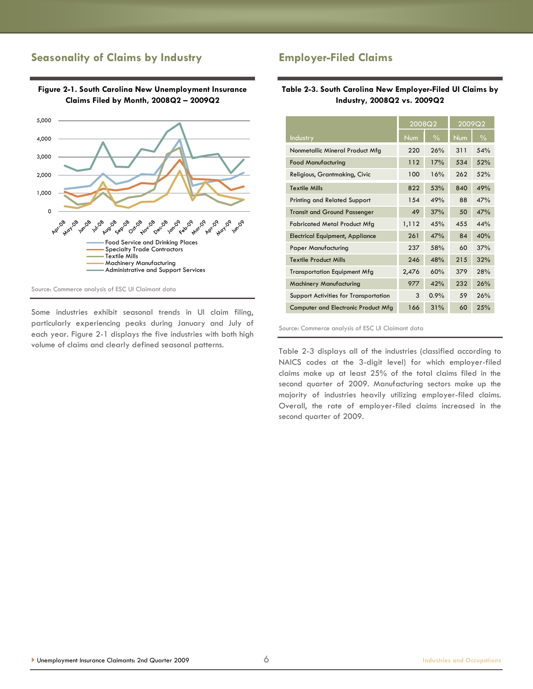## **Seasonality of Claims by Industry**



**Figure 2-1. South Carolina New Unemployment Insurance Claims Filed by Month, 2008Q2 – 2009Q2**

Source: Commerce analysis of ESC UI Claimant data

Some industries exhibit seasonal trends in UI claim filing, particularly experiencing peaks during January and July of each year. Figure 2-1 displays the five industries with both high volume of claims and clearly defined seasonal patterns.

## **Employer-Filed Claims**

#### **Table 2-3. South Carolina New Employer-Filed UI Claims by Industry, 2008Q2 vs. 2009Q2**

|                                              | 2008Q2 |               | 2009Q2 |               |
|----------------------------------------------|--------|---------------|--------|---------------|
| <b>Industry</b>                              | Num    | $\frac{0}{0}$ | Num    | $\frac{0}{0}$ |
| Nonmetallic Mineral Product Mfg              | 220    | 26%           | 311    | 54%           |
| <b>Food Manufacturing</b>                    | 112    | 17%           | 534    | 52%           |
| Religious, Grantmaking, Civic                | 100    | 16%           | 262    | 52%           |
| <b>Textile Mills</b>                         | 822    | 53%           | 840    | 49%           |
| <b>Printing and Related Support</b>          | 154    | 49%           | 88     | 47%           |
| <b>Transit and Ground Passenger</b>          | 49     | 37%           | 50     | 47%           |
| <b>Fabricated Metal Product Mfg</b>          | 1,112  | 45%           | 455    | 44%           |
| <b>Electrical Equipment, Appliance</b>       | 261    | 47%           | 84     | 40%           |
| <b>Paper Manufacturing</b>                   | 237    | 58%           | 60     | 37%           |
| <b>Textile Product Mills</b>                 | 246    | 48%           | 215    | 32%           |
| <b>Transportation Equipment Mfg</b>          | 2,476  | 60%           | 379    | 28%           |
| Machinery Manufacturing                      | 977    | 42%           | 232    | 26%           |
| <b>Support Activities for Transportation</b> | 3      | 0.9%          | 59     | 26%           |
| Computer and Electronic Product Mfg          | 166    | 31%           | 60     | 25%           |

Source: Commerce analysis of ESC UI Claimant data

Table 2-3 displays all of the industries (classified according to NAICS codes at the 3-digit level) for which employer-filed claims make up at least 25% of the total claims filed in the second quarter of 2009. Manufacturing sectors make up the majority of industries heavily utilizing employer-filed claims. Overall, the rate of employer-filed claims increased in the second quarter of 2009.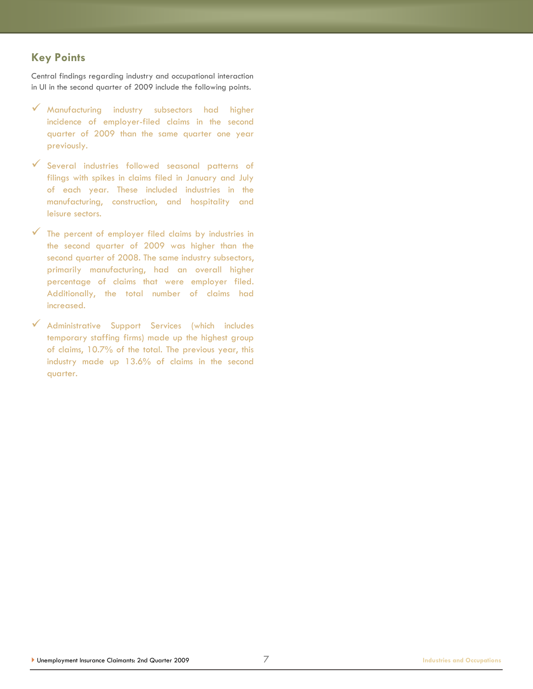## **Key Points**

Central findings regarding industry and occupational interaction in UI in the second quarter of 2009 include the following points.

- Manufacturing industry subsectors had higher incidence of employer-filed claims in the second quarter of 2009 than the same quarter one year previously.
- Several industries followed seasonal patterns of filings with spikes in claims filed in January and July of each year. These included industries in the manufacturing, construction, and hospitality and leisure sectors.
- The percent of employer filed claims by industries in the second quarter of 2009 was higher than the second quarter of 2008. The same industry subsectors, primarily manufacturing, had an overall higher percentage of claims that were employer filed. Additionally, the total number of claims had increased.
- Administrative Support Services (which includes temporary staffing firms) made up the highest group of claims, 10.7% of the total. The previous year, this industry made up 13.6% of claims in the second quarter.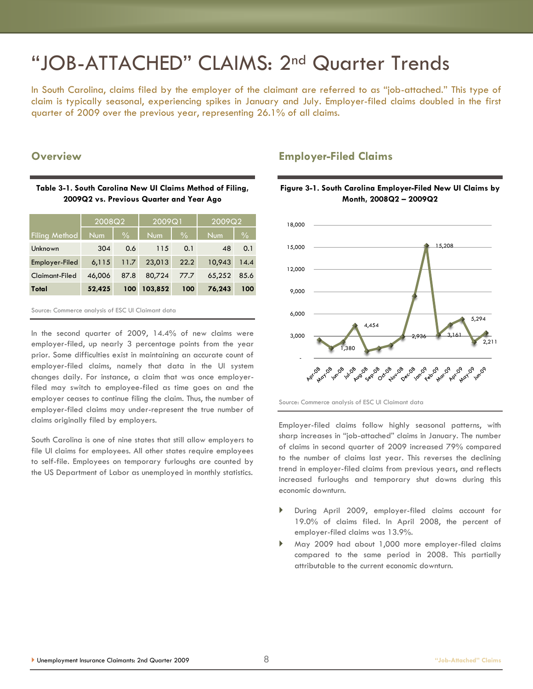## "JOB-ATTACHED" CLAIMS: 2nd Quarter Trends

In South Carolina, claims filed by the employer of the claimant are referred to as "job-attached." This type of claim is typically seasonal, experiencing spikes in January and July. Employer-filed claims doubled in the first quarter of 2009 over the previous year, representing 26.1% of all claims.

#### **Overview**

#### **Table 3-1. South Carolina New UI Claims Method of Filing, 2009Q2 vs. Previous Quarter and Year Ago**

|                      | 2008Q2     |               | 2009Q1     |               | 2009Q2     |               |
|----------------------|------------|---------------|------------|---------------|------------|---------------|
| <b>Filing Method</b> | <b>Num</b> | $\frac{0}{0}$ | <b>Num</b> | $\frac{0}{0}$ | <b>Num</b> | $\frac{0}{0}$ |
| Unknown              | 304        | 0.6           | 115        | 0.1           | 48         | 0.1           |
| Employer-Filed       | 6,115      | 11.7          | 23.013     | 22.2          | 10,943     | 14.4          |
| Claimant-Filed       | 46,006     | 87.8          | 80,724     | 77.7          | 65,252     | 85.6          |
| Total                | 52,425     | 100           | 103,852    | 100           | 76,243     | 100           |

| Source: Commerce analysis of ESC UI Claimant data |  |  |  |  |
|---------------------------------------------------|--|--|--|--|
|---------------------------------------------------|--|--|--|--|

In the second quarter of 2009, 14.4% of new claims were employer-filed, up nearly 3 percentage points from the year prior. Some difficulties exist in maintaining an accurate count of employer-filed claims, namely that data in the UI system changes daily. For instance, a claim that was once employerfiled may switch to employee-filed as time goes on and the employer ceases to continue filing the claim. Thus, the number of employer-filed claims may under-represent the true number of claims originally filed by employers.

South Carolina is one of nine states that still allow employers to file UI claims for employees. All other states require employees to self-file. Employees on temporary furloughs are counted by the US Department of Labor as unemployed in monthly statistics.

### **Employer-Filed Claims**



#### **Figure 3-1. South Carolina Employer-Filed New UI Claims by Month, 2008Q2 – 2009Q2**

Source: Commerce analysis of ESC UI Claimant data

Employer-filed claims follow highly seasonal patterns, with sharp increases in "job-attached" claims in January. The number of claims in second quarter of 2009 increased 79% compared to the number of claims last year. This reverses the declining trend in employer-filed claims from previous years, and reflects increased furloughs and temporary shut downs during this economic downturn.

- During April 2009, employer-filed claims account for 19.0% of claims filed. In April 2008, the percent of employer-filed claims was 13.9%.
- May 2009 had about 1,000 more employer-filed claims compared to the same period in 2008. This partially attributable to the current economic downturn.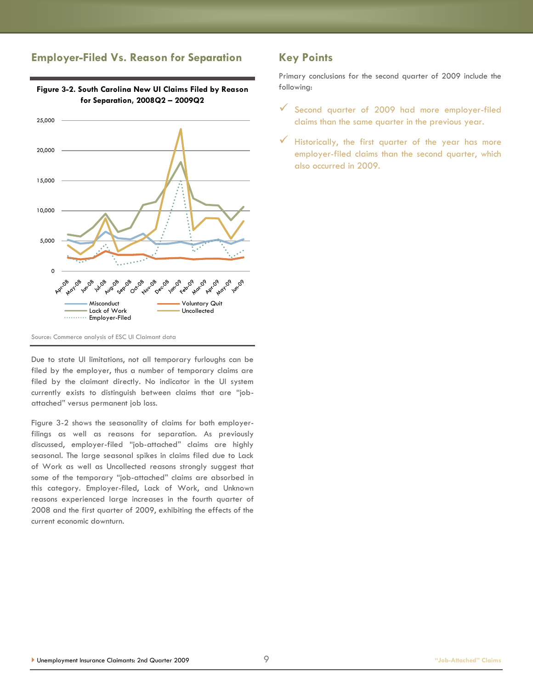## **Employer-Filed Vs. Reason for Separation**



**Figure 3-2. South Carolina New UI Claims Filed by Reason for Separation, 2008Q2 – 2009Q2**

Source: Commerce analysis of ESC UI Claimant data

Due to state UI limitations, not all temporary furloughs can be filed by the employer, thus a number of temporary claims are filed by the claimant directly. No indicator in the UI system currently exists to distinguish between claims that are "jobattached‖ versus permanent job loss.

Figure 3-2 shows the seasonality of claims for both employerfilings as well as reasons for separation. As previously discussed, employer-filed "job-attached" claims are highly seasonal. The large seasonal spikes in claims filed due to Lack of Work as well as Uncollected reasons strongly suggest that some of the temporary "job-attached" claims are absorbed in this category. Employer-filed, Lack of Work, and Unknown reasons experienced large increases in the fourth quarter of 2008 and the first quarter of 2009, exhibiting the effects of the current economic downturn.

## **Key Points**

Primary conclusions for the second quarter of 2009 include the following:

- $\checkmark$  Second quarter of 2009 had more employer-filed claims than the same quarter in the previous year.
- $\checkmark$  Historically, the first quarter of the year has more employer-filed claims than the second quarter, which also occurred in 2009.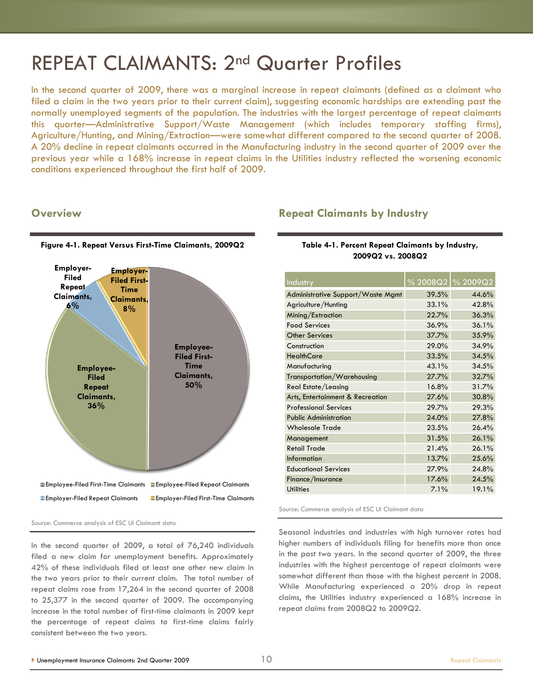## REPEAT CLAIMANTS: 2nd Quarter Profiles

In the second quarter of 2009, there was a marginal increase in repeat claimants (defined as a claimant who filed a claim in the two years prior to their current claim), suggesting economic hardships are extending past the normally unemployed segments of the population. The industries with the largest percentage of repeat claimants this quarter—Administrative Support/Waste Management (which includes temporary staffing firms), Agriculture/Hunting, and Mining/Extraction—were somewhat different compared to the second quarter of 2008. A 20% decline in repeat claimants occurred in the Manufacturing industry in the second quarter of 2009 over the previous year while a 168% increase in repeat claims in the Utilities industry reflected the worsening economic conditions experienced throughout the first half of 2009.

#### **Overview**



**Figure 4-1. Repeat Versus First-Time Claimants, 2009Q2**

#### Source: Commerce analysis of ESC UI Claimant data

In the second quarter of 2009, a total of 76,240 individuals filed a new claim for unemployment benefits. Approximately 42% of these individuals filed at least one other new claim in the two years prior to their current claim. The total number of repeat claims rose from 17,264 in the second quarter of 2008 to 25,377 in the second quarter of 2009. The accompanying increase in the total number of first-time claimants in 2009 kept the percentage of repeat claims to first-time claims fairly consistent between the two years.

### **Repeat Claimants by Industry**

#### **Table 4-1. Percent Repeat Claimants by Industry, 2009Q2 vs. 2008Q2**

| Industry                          |       | % 2008Q2  % 2009Q2 |
|-----------------------------------|-------|--------------------|
| Administrative Support/Waste Mgmt | 39.5% | 44.6%              |
| Agriculture/Hunting               | 33.1% | 42.8%              |
| Mining/Extraction                 | 22.7% | 36.3%              |
| <b>Food Services</b>              | 36.9% | 36.1%              |
| <b>Other Services</b>             | 37.7% | 35.9%              |
| Construction                      | 29.0% | 34.9%              |
| <b>HealthCare</b>                 | 33.5% | 34.5%              |
| Manufacturing                     | 43.1% | 34.5%              |
| Transportation/Warehousing        | 27.7% | 32.7%              |
| Real Estate/Leasing               | 16.8% | 31.7%              |
| Arts, Entertainment & Recreation  | 27.6% | 30.8%              |
| <b>Professional Services</b>      | 29.7% | 29.3%              |
| <b>Public Administration</b>      | 24.0% | 27.8%              |
| <b>Wholesale Trade</b>            | 23.5% | 26.4%              |
| Management                        | 31.5% | 26.1%              |
| <b>Retail Trade</b>               | 21.4% | 26.1%              |
| <b>Information</b>                | 13.7% | 25.6%              |
| <b>Educational Services</b>       | 27.9% | 24.8%              |
| Finance/Insurance                 | 17.6% | 24.5%              |
| <b>Utilities</b>                  | 7.1%  | 19.1%              |

Source: Commerce analysis of ESC UI Claimant data

Seasonal industries and industries with high turnover rates had higher numbers of individuals filing for benefits more than once in the past two years. In the second quarter of 2009, the three industries with the highest percentage of repeat claimants were somewhat different than those with the highest percent in 2008. While Manufacturing experienced a 20% drop in repeat claims, the Utilities industry experienced a 168% increase in repeat claims from 2008Q2 to 2009Q2.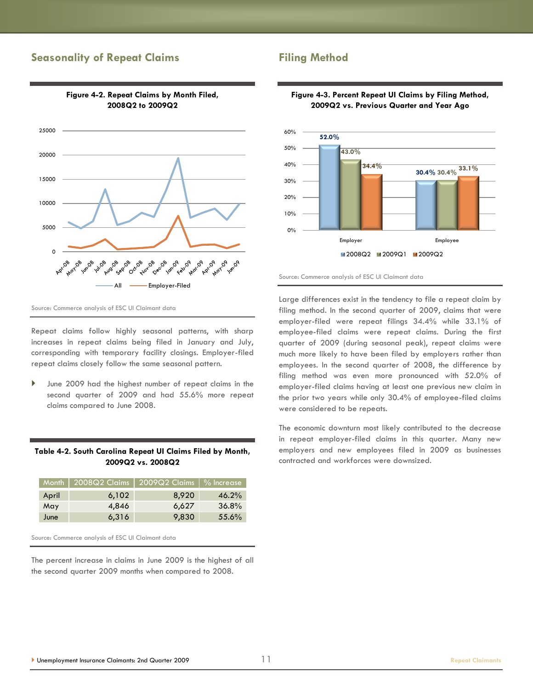### **Seasonality of Repeat Claims**



**Figure 4-2. Repeat Claims by Month Filed, 2008Q2 to 2009Q2**

Source: Commerce analysis of ESC UI Claimant data

Repeat claims follow highly seasonal patterns, with sharp increases in repeat claims being filed in January and July, corresponding with temporary facility closings. Employer-filed repeat claims closely follow the same seasonal pattern.

 June 2009 had the highest number of repeat claims in the second quarter of 2009 and had 55.6% more repeat claims compared to June 2008.

#### **Table 4-2. South Carolina Repeat UI Claims Filed by Month, 2009Q2 vs. 2008Q2**

|       | Month   2008Q2 Claims | $^\circ$ 2009Q2 Claims | $\sqrt{2}$ Increase |
|-------|-----------------------|------------------------|---------------------|
| April | 6,102                 | 8.920                  | $46.2\%$            |
| May   | 4,846                 | 6,627                  | $36.8\%$            |
| June  | 6,316                 | 9,830                  | 55.6%               |

Source: Commerce analysis of ESC UI Claimant data

The percent increase in claims in June 2009 is the highest of all the second quarter 2009 months when compared to 2008.

## **Filing Method**







Large differences exist in the tendency to file a repeat claim by filing method. In the second quarter of 2009, claims that were employer-filed were repeat filings 34.4% while 33.1% of employee-filed claims were repeat claims. During the first quarter of 2009 (during seasonal peak), repeat claims were much more likely to have been filed by employers rather than employees. In the second quarter of 2008, the difference by filing method was even more pronounced with 52.0% of employer-filed claims having at least one previous new claim in the prior two years while only 30.4% of employee-filed claims were considered to be repeats.

The economic downturn most likely contributed to the decrease in repeat employer-filed claims in this quarter. Many new employers and new employees filed in 2009 as businesses contracted and workforces were downsized.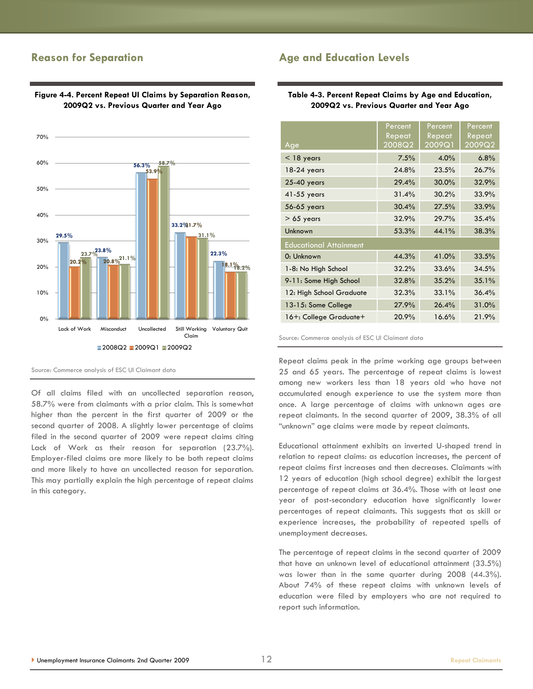### **Reason for Separation**



#### **Figure 4-4. Percent Repeat UI Claims by Separation Reason, 2009Q2 vs. Previous Quarter and Year Ago**

Source: Commerce analysis of ESC UI Claimant data

Of all claims filed with an uncollected separation reason, 58.7% were from claimants with a prior claim. This is somewhat higher than the percent in the first quarter of 2009 or the second quarter of 2008. A slightly lower percentage of claims filed in the second quarter of 2009 were repeat claims citing Lack of Work as their reason for separation (23.7%). Employer-filed claims are more likely to be both repeat claims and more likely to have an uncollected reason for separation. This may partially explain the high percentage of repeat claims in this category.

## **Age and Education Levels**

**Table 4-3. Percent Repeat Claims by Age and Education, 2009Q2 vs. Previous Quarter and Year Ago**

| Age                           | Percent<br>Repeat<br>2008Q2 | Percent<br>Repeat<br>2009Q1 | Percent<br>Repeat<br>2009Q2 |
|-------------------------------|-----------------------------|-----------------------------|-----------------------------|
| $<$ 18 years                  | 7.5%                        | 4.0%                        | 6.8%                        |
| 18-24 years                   | 24.8%                       | 23.5%                       | 26.7%                       |
| 25-40 years                   | 29.4%                       | 30.0%                       | 32.9%                       |
| 41-55 years                   | 31.4%                       | 30.2%                       | 33.9%                       |
| 56-65 years                   | 30.4%                       | 27.5%                       | 33.9%                       |
| $> 65$ years                  | 32.9%                       | 29.7%                       | 35.4%                       |
| Unknown                       | 53.3%                       | 44.1%                       | 38.3%                       |
| <b>Educational Attainment</b> |                             |                             |                             |
| 0: Unknown                    | 44.3%                       | 41.0%                       | 33.5%                       |
| 1-8: No High School           | 32.2%                       | 33.6%                       | 34.5%                       |
| 9-11: Some High School        | 32.8%                       | 35.2%                       | 35.1%                       |
| 12: High School Graduate      | 32.3%                       | 33.1%                       | 36.4%                       |
| 13-15: Some College           | 27.9%                       | 26.4%                       | 31.0%                       |
| 16+: College Graduate+        | 20.9%                       | 16.6%                       | 21.9%                       |

Source: Commerce analysis of ESC UI Claimant data

Repeat claims peak in the prime working age groups between 25 and 65 years. The percentage of repeat claims is lowest among new workers less than 18 years old who have not accumulated enough experience to use the system more than once. A large percentage of claims with unknown ages are repeat claimants. In the second quarter of 2009, 38.3% of all "unknown" age claims were made by repeat claimants.

Educational attainment exhibits an inverted U-shaped trend in relation to repeat claims: as education increases, the percent of repeat claims first increases and then decreases. Claimants with 12 years of education (high school degree) exhibit the largest percentage of repeat claims at 36.4%. Those with at least one year of post-secondary education have significantly lower percentages of repeat claimants. This suggests that as skill or experience increases, the probability of repeated spells of unemployment decreases.

The percentage of repeat claims in the second quarter of 2009 that have an unknown level of educational attainment (33.5%) was lower than in the same quarter during 2008 (44.3%). About 74% of these repeat claims with unknown levels of education were filed by employers who are not required to report such information.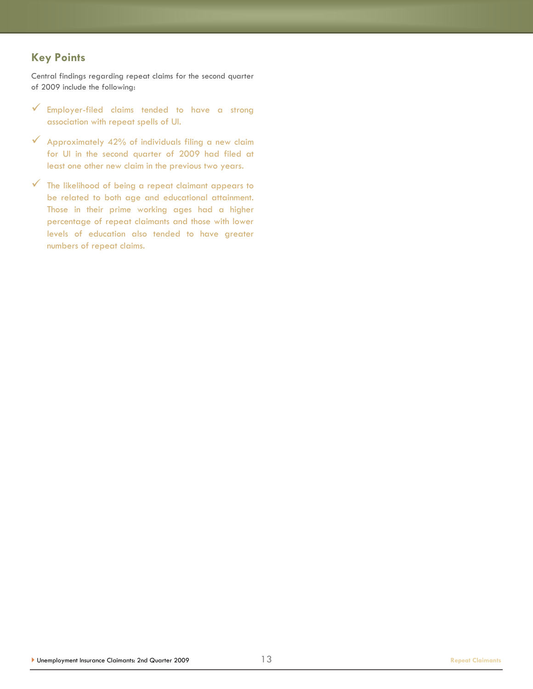## **Key Points**

Central findings regarding repeat claims for the second quarter of 2009 include the following:

- $\checkmark$  Employer-filed claims tended to have a strong association with repeat spells of UI.
- $\checkmark$  Approximately 42% of individuals filing a new claim for UI in the second quarter of 2009 had filed at least one other new claim in the previous two years.
- $\checkmark$  The likelihood of being a repeat claimant appears to be related to both age and educational attainment. Those in their prime working ages had a higher percentage of repeat claimants and those with lower levels of education also tended to have greater numbers of repeat claims.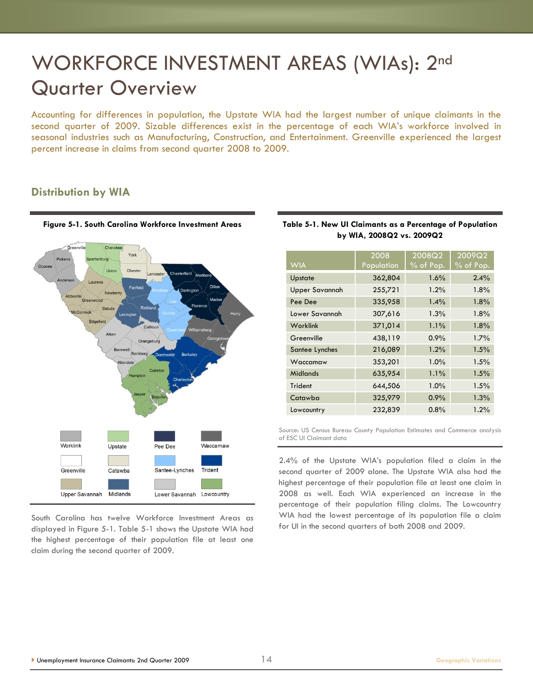## WORKFORCE INVESTMENT AREAS (WIAs): 2nd Quarter Overview

Accounting for differences in population, the Upstate WIA had the largest number of unique claimants in the second quarter of 2009. Sizable differences exist in the percentage of each WIA's workforce involved in seasonal industries such as Manufacturing, Construction, and Entertainment. Greenville experienced the largest percent increase in claims from second quarter 2008 to 2009.

### **Distribution by WIA**



South Carolina has twelve Workforce Investment Areas as displayed in Figure 5-1. Table 5-1 shows the Upstate WIA had the highest percentage of their population file at least one claim during the second quarter of 2009.

|                 | 2008       | 2008Q2      | 2009Q2      |
|-----------------|------------|-------------|-------------|
| <b>WIA</b>      | Population | $%$ of Pop. | $%$ of Pop. |
| Upstate         | 362,804    | 1.6%        | 2.4%        |
| Upper Savannah  | 255,721    | 1.2%        | 1.8%        |
| Pee Dee         | 335,958    | $1.4\%$     | 1.8%        |
| Lower Savannah  | 307,616    | 1.3%        | 1.8%        |
| Worklink        | 371,014    | 1.1%        | 1.8%        |
| Greenville      | 438,119    | 0.9%        | 1.7%        |
| Santee Lynches  | 216,089    | 1.2%        | 1.5%        |
| Waccamaw        | 353,201    | 1.0%        | 1.5%        |
| <b>Midlands</b> | 635,954    | 1.1%        | 1.5%        |
| Trident         | 644,506    | 1.0%        | 1.5%        |
| Catawba         | 325,979    | 0.9%        | 1.3%        |
| Lowcountry      | 232,839    | 0.8%        | 1.2%        |

#### **Table 5-1. New UI Claimants as a Percentage of Population by WIA, 2008Q2 vs. 2009Q2**

Source: US Census Bureau County Population Estimates and Commerce analysis of ESC UI Claimant data

2.4% of the Upstate WIA's population filed a claim in the second quarter of 2009 alone. The Upstate WIA also had the highest percentage of their population file at least one claim in 2008 as well. Each WIA experienced an increase in the percentage of their population filing claims. The Lowcountry WIA had the lowest percentage of its population file a claim for UI in the second quarters of both 2008 and 2009.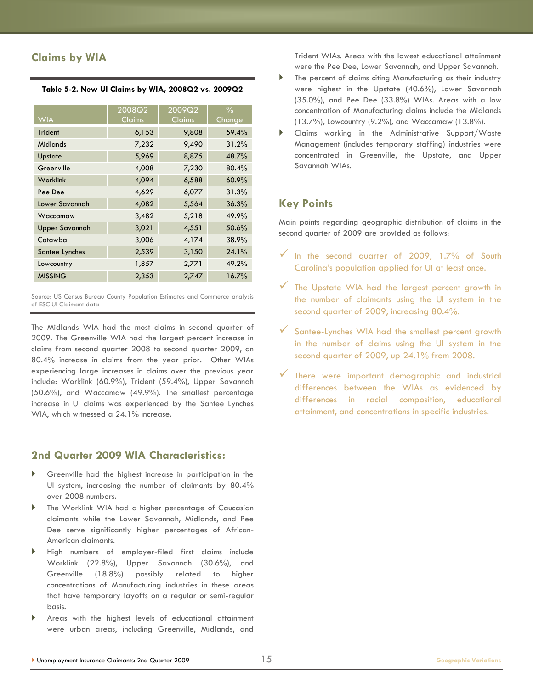## **Claims by WIA**

|  |  |  |  |  | Table 5-2. New UI Claims by WIA, 2008Q2 vs. 2009Q2 |  |
|--|--|--|--|--|----------------------------------------------------|--|
|--|--|--|--|--|----------------------------------------------------|--|

| <b>WIA</b>            | 2008Q2<br>Claims | 2009Q2<br><u>Claims</u> | $\frac{0}{0}$<br>Change |
|-----------------------|------------------|-------------------------|-------------------------|
| <b>Trident</b>        | 6,153            | 9,808                   | 59.4%                   |
| Midlands              | 7,232            | 9,490                   | 31.2%                   |
| <b>Upstate</b>        | 5,969            | 8,875                   | 48.7%                   |
| Greenville            | 4,008            | 7,230                   | 80.4%                   |
| Worklink              | 4,094            | 6,588                   | 60.9%                   |
| Pee Dee               | 4,629            | 6,077                   | 31.3%                   |
| Lower Savannah        | 4,082            | 5,564                   | 36.3%                   |
| Waccamaw              | 3,482            | 5,218                   | 49.9%                   |
| <b>Upper Savannah</b> | 3,021            | 4,551                   | 50.6%                   |
| Catawba               | 3,006            | 4,174                   | 38.9%                   |
| Santee Lynches        | 2,539            | 3,150                   | 24.1%                   |
| Lowcountry            | 1,857            | 2,771                   | 49.2%                   |
| <b>MISSING</b>        | 2,353            | 2,747                   | 16.7%                   |

Source: US Census Bureau County Population Estimates and Commerce analysis of ESC UI Claimant data

The Midlands WIA had the most claims in second quarter of 2009. The Greenville WIA had the largest percent increase in claims from second quarter 2008 to second quarter 2009, an 80.4% increase in claims from the year prior. Other WIAs experiencing large increases in claims over the previous year include: Worklink (60.9%), Trident (59.4%), Upper Savannah (50.6%), and Waccamaw (49.9%). The smallest percentage increase in UI claims was experienced by the Santee Lynches WIA, which witnessed a 24.1% increase.

### **2nd Quarter 2009 WIA Characteristics:**

- Greenville had the highest increase in participation in the UI system, increasing the number of claimants by 80.4% over 2008 numbers.
- The Worklink WIA had a higher percentage of Caucasian claimants while the Lower Savannah, Midlands, and Pee Dee serve significantly higher percentages of African-American claimants.
- High numbers of employer-filed first claims include Worklink (22.8%), Upper Savannah (30.6%), and Greenville (18.8%) possibly related to higher concentrations of Manufacturing industries in these areas that have temporary layoffs on a regular or semi-regular basis.
- Areas with the highest levels of educational attainment were urban areas, including Greenville, Midlands, and

Trident WIAs. Areas with the lowest educational attainment were the Pee Dee, Lower Savannah, and Upper Savannah.

- The percent of claims citing Manufacturing as their industry were highest in the Upstate (40.6%), Lower Savannah (35.0%), and Pee Dee (33.8%) WIAs. Areas with a low concentration of Manufacturing claims include the Midlands (13.7%), Lowcountry (9.2%), and Waccamaw (13.8%).
- Claims working in the Administrative Support/Waste Management (includes temporary staffing) industries were concentrated in Greenville, the Upstate, and Upper Savannah WIAs.

### **Key Points**

Main points regarding geographic distribution of claims in the second quarter of 2009 are provided as follows:

- $\checkmark$  In the second quarter of 2009, 1.7% of South Carolina's population applied for UI at least once.
- $\checkmark$  The Upstate WIA had the largest percent growth in the number of claimants using the UI system in the second quarter of 2009, increasing 80.4%.
- Santee-Lynches WIA had the smallest percent growth in the number of claims using the UI system in the second quarter of 2009, up 24.1% from 2008.
- There were important demographic and industrial differences between the WIAs as evidenced by differences in racial composition, educational attainment, and concentrations in specific industries.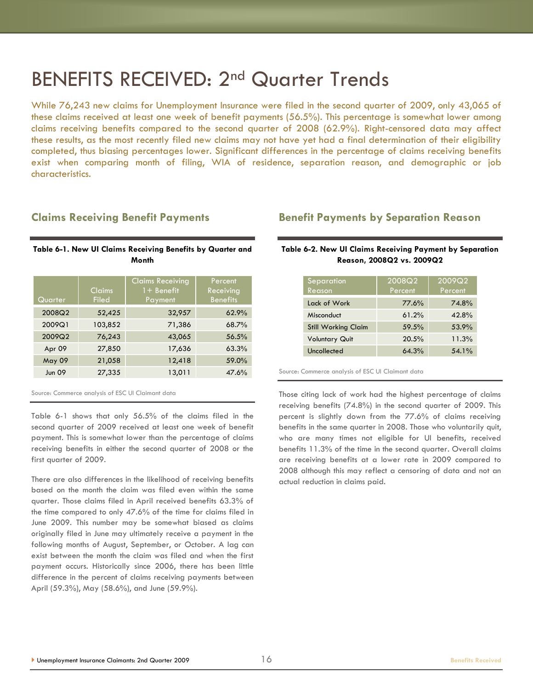## BENEFITS RECEIVED: 2nd Quarter Trends

While 76,243 new claims for Unemployment Insurance were filed in the second quarter of 2009, only 43,065 of these claims received at least one week of benefit payments (56.5%). This percentage is somewhat lower among claims receiving benefits compared to the second quarter of 2008 (62.9%). Right-censored data may affect these results, as the most recently filed new claims may not have yet had a final determination of their eligibility completed, thus biasing percentages lower. Significant differences in the percentage of claims receiving benefits exist when comparing month of filing, WIA of residence, separation reason, and demographic or job characteristics.

#### **Claims Receiving Benefit Payments**

#### **Table 6-1. New UI Claims Receiving Benefits by Quarter and Month**

| Quarter       | Claims<br><b>Filed</b> | <b>Claims Receiving</b><br>$1 +$ Benefit<br>Payment | Percent<br>Receiving<br><b>Benefits</b> |
|---------------|------------------------|-----------------------------------------------------|-----------------------------------------|
| 2008Q2        | 52,425                 | 32,957                                              | 62.9%                                   |
| 2009Q1        | 103,852                | 71,386                                              | 68.7%                                   |
| 2009Q2        | 76,243                 | 43,065                                              | 56.5%                                   |
| Apr 09        | 27,850                 | 17,636                                              | 63.3%                                   |
| <b>May 09</b> | 21,058                 | 12,418                                              | 59.0%                                   |
| <b>Jun 09</b> | 27,335                 | 13,011                                              | 47.6%                                   |

Source: Commerce analysis of ESC UI Claimant data

Table 6-1 shows that only 56.5% of the claims filed in the second quarter of 2009 received at least one week of benefit payment. This is somewhat lower than the percentage of claims receiving benefits in either the second quarter of 2008 or the first quarter of 2009.

There are also differences in the likelihood of receiving benefits based on the month the claim was filed even within the same quarter. Those claims filed in April received benefits 63.3% of the time compared to only 47.6% of the time for claims filed in June 2009. This number may be somewhat biased as claims originally filed in June may ultimately receive a payment in the following months of August, September, or October. A lag can exist between the month the claim was filed and when the first payment occurs. Historically since 2006, there has been little difference in the percent of claims receiving payments between April (59.3%), May (58.6%), and June (59.9%).

### **Benefit Payments by Separation Reason**

#### **Table 6-2. New UI Claims Receiving Payment by Separation Reason, 2008Q2 vs. 2009Q2**

| Separation<br>Reason       | 2008Q2<br>Percent | 2009Q2<br>Percent |
|----------------------------|-------------------|-------------------|
| Lack of Work               | 77.6%             | 74.8%             |
| Misconduct                 | 61.2%             | 42.8%             |
| <b>Still Working Claim</b> | 59.5%             | 53.9%             |
| <b>Voluntary Quit</b>      | 20.5%             | 11.3%             |
| Uncollected                | 64.3%             | 54.1%             |

Source: Commerce analysis of ESC UI Claimant data

Those citing lack of work had the highest percentage of claims receiving benefits (74.8%) in the second quarter of 2009. This percent is slightly down from the 77.6% of claims receiving benefits in the same quarter in 2008. Those who voluntarily quit, who are many times not eligible for UI benefits, received benefits 11.3% of the time in the second quarter. Overall claims are receiving benefits at a lower rate in 2009 compared to 2008 although this may reflect a censoring of data and not an actual reduction in claims paid.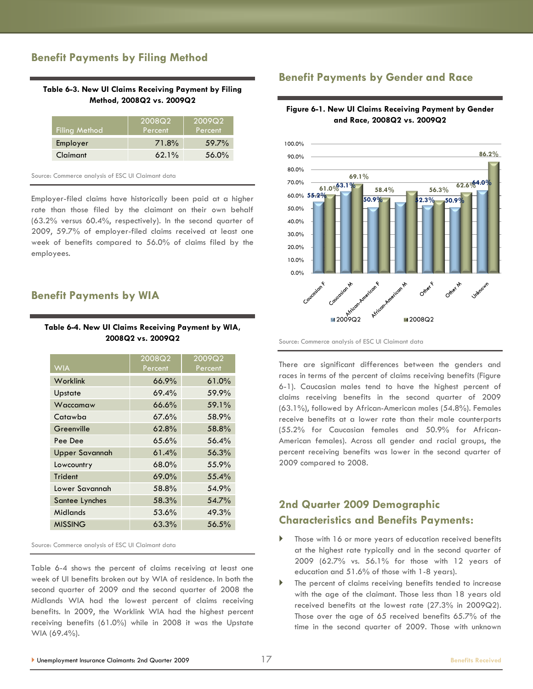## **Benefit Payments by Filing Method**

#### **Table 6-3. New UI Claims Receiving Payment by Filing Method, 2008Q2 vs. 2009Q2**

| Filing Method | 2008Q2<br>Percent | 2009Q2<br>Percent' |
|---------------|-------------------|--------------------|
| Employer      | 71.8%             | $59.7\%$           |
| Claimant      | $62.1\%$          | 56.0%              |

Source: Commerce analysis of ESC UI Claimant data

Employer-filed claims have historically been paid at a higher rate than those filed by the claimant on their own behalf (63.2% versus 60.4%, respectively). In the second quarter of 2009, 59.7% of employer-filed claims received at least one week of benefits compared to 56.0% of claims filed by the employees.

#### **Benefit Payments by WIA**

#### **Table 6-4. New UI Claims Receiving Payment by WIA, 2008Q2 vs. 2009Q2**

|                       | 2008Q2  | 2009Q2  |
|-----------------------|---------|---------|
| <b>WIA</b>            | Percent | Percent |
| Worklink              | 66.9%   | 61.0%   |
| Upstate               | 69.4%   | 59.9%   |
| Waccamaw              | 66.6%   | 59.1%   |
| Catawba               | 67.6%   | 58.9%   |
| Greenville            | 62.8%   | 58.8%   |
| Pee Dee               | 65.6%   | 56.4%   |
| <b>Upper Savannah</b> | 61.4%   | 56.3%   |
| Lowcountry            | 68.0%   | 55.9%   |
| Trident               | 69.0%   | 55.4%   |
| Lower Savannah        | 58.8%   | 54.9%   |
| Santee Lynches        | 58.3%   | 54.7%   |
| <b>Midlands</b>       | 53.6%   | 49.3%   |
| <b>MISSING</b>        | 63.3%   | 56.5%   |

Source: Commerce analysis of ESC UI Claimant data

Table 6-4 shows the percent of claims receiving at least one week of UI benefits broken out by WIA of residence. In both the second quarter of 2009 and the second quarter of 2008 the Midlands WIA had the lowest percent of claims receiving benefits. In 2009, the Worklink WIA had the highest percent receiving benefits (61.0%) while in 2008 it was the Upstate WIA (69.4%).

#### **Benefit Payments by Gender and Race**

**Figure 6-1. New UI Claims Receiving Payment by Gender and Race, 2008Q2 vs. 2009Q2**



Source: Commerce analysis of ESC UI Claimant data

There are significant differences between the genders and races in terms of the percent of claims receiving benefits (Figure 6-1). Caucasian males tend to have the highest percent of claims receiving benefits in the second quarter of 2009 (63.1%), followed by African-American males (54.8%). Females receive benefits at a lower rate than their male counterparts (55.2% for Caucasian females and 50.9% for African-American females). Across all gender and racial groups, the percent receiving benefits was lower in the second quarter of 2009 compared to 2008.

## **2nd Quarter 2009 Demographic Characteristics and Benefits Payments:**

- Those with 16 or more years of education received benefits at the highest rate typically and in the second quarter of 2009 (62.7% vs. 56.1% for those with 12 years of education and 51.6% of those with 1-8 years).
- The percent of claims receiving benefits tended to increase with the age of the claimant. Those less than 18 years old received benefits at the lowest rate (27.3% in 2009Q2). Those over the age of 65 received benefits 65.7% of the time in the second quarter of 2009. Those with unknown